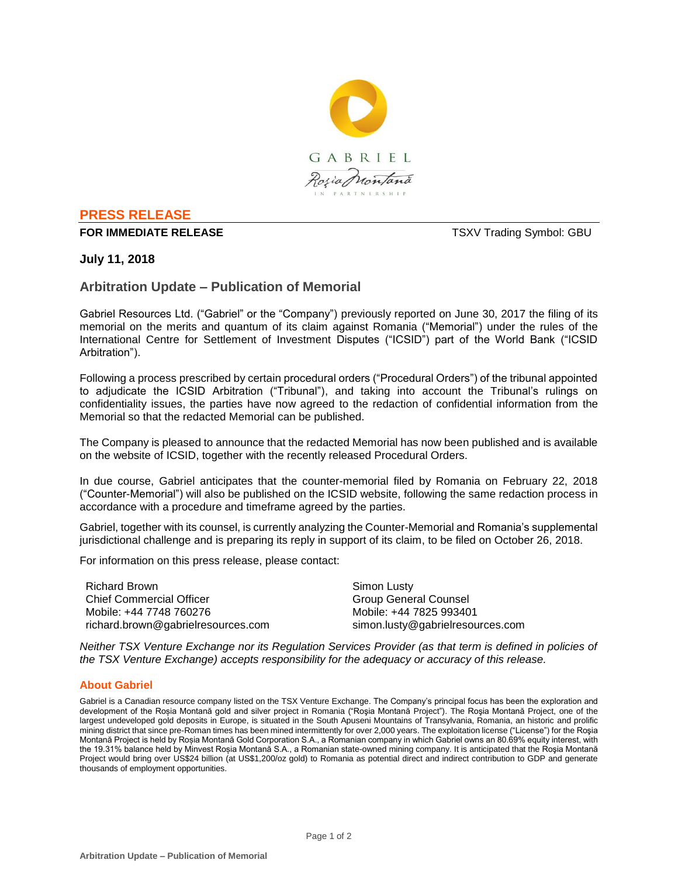

# **PRESS RELEASE**

#### **FOR IMMEDIATE RELEASE TSXV Trading Symbol: GBU**

## **July 11, 2018**

# **Arbitration Update – Publication of Memorial**

Gabriel Resources Ltd. ("Gabriel" or the "Company") previously reported on June 30, 2017 the filing of its memorial on the merits and quantum of its claim against Romania ("Memorial") under the rules of the International Centre for Settlement of Investment Disputes ("ICSID") part of the World Bank ("ICSID Arbitration").

Following a process prescribed by certain procedural orders ("Procedural Orders") of the tribunal appointed to adjudicate the ICSID Arbitration ("Tribunal"), and taking into account the Tribunal's rulings on confidentiality issues, the parties have now agreed to the redaction of confidential information from the Memorial so that the redacted Memorial can be published.

The Company is pleased to announce that the redacted Memorial has now been published and is available on the website of ICSID, together with the recently released Procedural Orders.

In due course, Gabriel anticipates that the counter-memorial filed by Romania on February 22, 2018 ("Counter-Memorial") will also be published on the ICSID website, following the same redaction process in accordance with a procedure and timeframe agreed by the parties.

Gabriel, together with its counsel, is currently analyzing the Counter-Memorial and Romania's supplemental jurisdictional challenge and is preparing its reply in support of its claim, to be filed on October 26, 2018.

For information on this press release, please contact:

Richard Brown Chief Commercial Officer Mobile: +44 7748 760276 richard.brown@gabrielresources.com

Simon Lusty Group General Counsel Mobile: +44 7825 993401 simon.lusty@gabrielresources.com

*Neither TSX Venture Exchange nor its Regulation Services Provider (as that term is defined in policies of the TSX Venture Exchange) accepts responsibility for the adequacy or accuracy of this release.*

#### **About Gabriel**

Gabriel is a Canadian resource company listed on the TSX Venture Exchange. The Company's principal focus has been the exploration and development of the Roșia Montană gold and silver project in Romania ("Roşia Montană Project"). The Roşia Montană Project, one of the largest undeveloped gold deposits in Europe, is situated in the South Apuseni Mountains of Transylvania, Romania, an historic and prolific mining district that since pre-Roman times has been mined intermittently for over 2,000 years. The exploitation license ("License") for the Roşia Montană Project is held by Roșia Montană Gold Corporation S.A., a Romanian company in which Gabriel owns an 80.69% equity interest, with the 19.31% balance held by Minvest Roșia Montană S.A., a Romanian state-owned mining company. It is anticipated that the Roşia Montană Project would bring over US\$24 billion (at US\$1,200/oz gold) to Romania as potential direct and indirect contribution to GDP and generate thousands of employment opportunities.